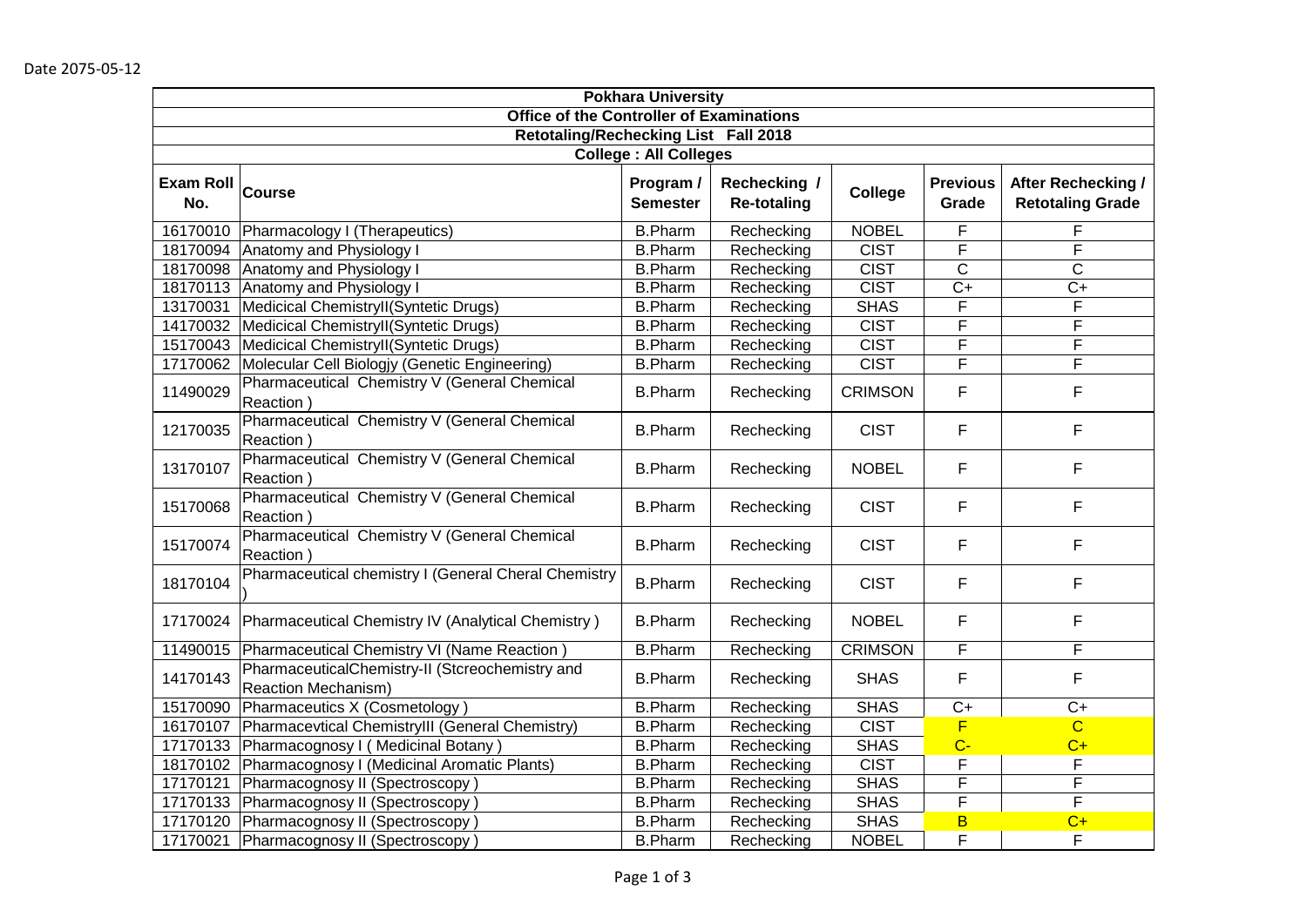| <b>Pokhara University</b>                       |                                                                               |                               |                                    |                |                          |                                                      |  |
|-------------------------------------------------|-------------------------------------------------------------------------------|-------------------------------|------------------------------------|----------------|--------------------------|------------------------------------------------------|--|
| <b>Office of the Controller of Examinations</b> |                                                                               |                               |                                    |                |                          |                                                      |  |
| Retotaling/Rechecking List Fall 2018            |                                                                               |                               |                                    |                |                          |                                                      |  |
|                                                 |                                                                               | <b>College : All Colleges</b> |                                    |                |                          |                                                      |  |
| <b>Exam Roll</b><br>No.                         | Course                                                                        | Program /<br><b>Semester</b>  | Rechecking /<br><b>Re-totaling</b> | College        | <b>Previous</b><br>Grade | <b>After Rechecking /</b><br><b>Retotaling Grade</b> |  |
| 16170010                                        | Pharmacology I (Therapeutics)                                                 | <b>B.Pharm</b>                | Rechecking                         | <b>NOBEL</b>   | F                        | F                                                    |  |
| 18170094                                        | <b>Anatomy and Physiology I</b>                                               | <b>B.Pharm</b>                | Rechecking                         | <b>CIST</b>    | F                        | F                                                    |  |
| 18170098                                        | Anatomy and Physiology I                                                      | <b>B.Pharm</b>                | Rechecking                         | <b>CIST</b>    | $\overline{C}$           | $\overline{\mathrm{c}}$                              |  |
| 18170113                                        | Anatomy and Physiology I                                                      | <b>B.Pharm</b>                | Rechecking                         | <b>CIST</b>    | $C+$                     | $C+$                                                 |  |
| 13170031                                        | Medicical ChemistryII(Syntetic Drugs)                                         | <b>B.Pharm</b>                | Rechecking                         | <b>SHAS</b>    | F                        | F                                                    |  |
| 14170032                                        | Medicical ChemistryII(Syntetic Drugs)                                         | <b>B.Pharm</b>                | Rechecking                         | <b>CIST</b>    | F                        | F                                                    |  |
| 15170043                                        | Medicical ChemistryII(Syntetic Drugs)                                         | <b>B.Pharm</b>                | Rechecking                         | <b>CIST</b>    | F                        | F                                                    |  |
| 17170062                                        | Molecular Cell Biologjy (Genetic Engineering)                                 | B.Pharm                       | Rechecking                         | <b>CIST</b>    | F                        | $\overline{\mathsf{F}}$                              |  |
| 11490029                                        | Pharmaceutical Chemistry V (General Chemical<br>Reaction)                     | <b>B.Pharm</b>                | Rechecking                         | <b>CRIMSON</b> | F                        | F                                                    |  |
| 12170035                                        | Pharmaceutical Chemistry V (General Chemical<br>Reaction)                     | <b>B.Pharm</b>                | Rechecking                         | <b>CIST</b>    | F                        | F                                                    |  |
| 13170107                                        | Pharmaceutical Chemistry V (General Chemical<br>Reaction)                     | <b>B.Pharm</b>                | Rechecking                         | <b>NOBEL</b>   | F                        | F                                                    |  |
| 15170068                                        | Pharmaceutical Chemistry V (General Chemical<br>Reaction)                     | <b>B.Pharm</b>                | Rechecking                         | <b>CIST</b>    | F                        | F                                                    |  |
| 15170074                                        | Pharmaceutical Chemistry V (General Chemical<br>Reaction)                     | <b>B.Pharm</b>                | Rechecking                         | <b>CIST</b>    | F                        | F                                                    |  |
| 18170104                                        | Pharmaceutical chemistry I (General Cheral Chemistry                          | <b>B.Pharm</b>                | Rechecking                         | <b>CIST</b>    | F                        | F                                                    |  |
| 17170024                                        | Pharmaceutical Chemistry IV (Analytical Chemistry)                            | <b>B.Pharm</b>                | Rechecking                         | <b>NOBEL</b>   | F                        | F                                                    |  |
| 11490015                                        | Pharmaceutical Chemistry VI (Name Reaction)                                   | <b>B.Pharm</b>                | Rechecking                         | <b>CRIMSON</b> | F                        | F                                                    |  |
| 14170143                                        | PharmaceuticalChemistry-II (Stcreochemistry and<br><b>Reaction Mechanism)</b> | <b>B.Pharm</b>                | Rechecking                         | <b>SHAS</b>    | F                        | F                                                    |  |
| 15170090                                        | Pharmaceutics X (Cosmetology)                                                 | <b>B.Pharm</b>                | Rechecking                         | <b>SHAS</b>    | $C+$                     | $C+$                                                 |  |
| 16170107                                        | Pharmacevtical ChemistryIII (General Chemistry)                               | <b>B.Pharm</b>                | Rechecking                         | <b>CIST</b>    | F                        | $\overline{C}$                                       |  |
| 17170133                                        | Pharmacognosy I (Medicinal Botany)                                            | <b>B.Pharm</b>                | Rechecking                         | <b>SHAS</b>    | $C -$                    | $C+$                                                 |  |
| 18170102                                        | Pharmacognosy I (Medicinal Aromatic Plants)                                   | <b>B.Pharm</b>                | Rechecking                         | <b>CIST</b>    | F                        | F                                                    |  |
| 17170121                                        | Pharmacognosy II (Spectroscopy)                                               | <b>B.Pharm</b>                | Rechecking                         | <b>SHAS</b>    | F                        | F                                                    |  |
| 17170133                                        | Pharmacognosy II (Spectroscopy)                                               | <b>B.Pharm</b>                | Rechecking                         | <b>SHAS</b>    | F                        | F                                                    |  |
| 17170120                                        | Pharmacognosy II (Spectroscopy)                                               | <b>B.Pharm</b>                | Rechecking                         | <b>SHAS</b>    | $\overline{B}$           | $C+$                                                 |  |
| 17170021                                        | Pharmacognosy II (Spectroscopy)                                               | <b>B.Pharm</b>                | Rechecking                         | <b>NOBEL</b>   | F                        | F                                                    |  |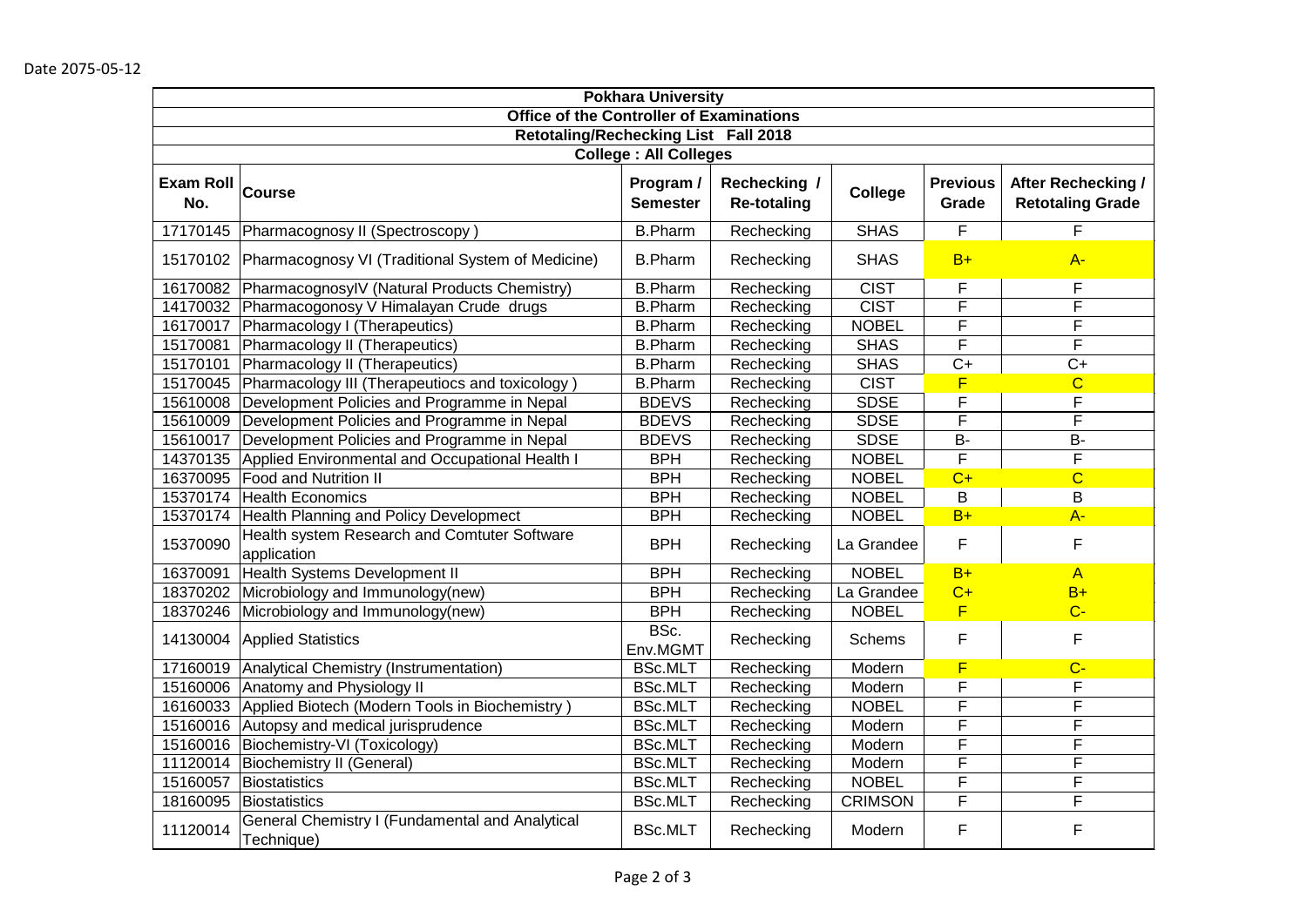| <b>Pokhara University</b>                       |                                                               |                              |                                    |                |                          |                                               |  |
|-------------------------------------------------|---------------------------------------------------------------|------------------------------|------------------------------------|----------------|--------------------------|-----------------------------------------------|--|
| <b>Office of the Controller of Examinations</b> |                                                               |                              |                                    |                |                          |                                               |  |
| Retotaling/Rechecking List Fall 2018            |                                                               |                              |                                    |                |                          |                                               |  |
| <b>College : All Colleges</b>                   |                                                               |                              |                                    |                |                          |                                               |  |
| <b>Exam Roll</b><br>No.                         | Course                                                        | Program /<br><b>Semester</b> | Rechecking /<br><b>Re-totaling</b> | College        | <b>Previous</b><br>Grade | After Rechecking /<br><b>Retotaling Grade</b> |  |
| 17170145                                        | Pharmacognosy II (Spectroscopy)                               | <b>B.Pharm</b>               | Rechecking                         | <b>SHAS</b>    | F                        | F                                             |  |
| 15170102                                        | Pharmacognosy VI (Traditional System of Medicine)             | <b>B.Pharm</b>               | Rechecking                         | <b>SHAS</b>    | $B+$                     | $A -$                                         |  |
| 16170082                                        | PharmacognosylV (Natural Products Chemistry)                  | <b>B.Pharm</b>               | Rechecking                         | <b>CIST</b>    | F                        | F                                             |  |
| 14170032                                        | Pharmacogonosy V Himalayan Crude drugs                        | <b>B.Pharm</b>               | Rechecking                         | <b>CIST</b>    | F                        | $\overline{\mathsf{F}}$                       |  |
| 16170017                                        | Pharmacology I (Therapeutics)                                 | <b>B.Pharm</b>               | Rechecking                         | <b>NOBEL</b>   | F                        | F                                             |  |
| 15170081                                        | Pharmacology II (Therapeutics)                                | <b>B.Pharm</b>               | Rechecking                         | <b>SHAS</b>    | F                        | F                                             |  |
| 15170101                                        | Pharmacology II (Therapeutics)                                | <b>B.Pharm</b>               | Rechecking                         | <b>SHAS</b>    | $C+$                     | $C+$                                          |  |
| 15170045                                        | Pharmacology III (Therapeutiocs and toxicology)               | <b>B.Pharm</b>               | Rechecking                         | <b>CIST</b>    | F                        | $\overline{C}$                                |  |
| 15610008                                        | Development Policies and Programme in Nepal                   | <b>BDEVS</b>                 | Rechecking                         | <b>SDSE</b>    | F                        | F                                             |  |
| 15610009                                        | Development Policies and Programme in Nepal                   | <b>BDEVS</b>                 | Rechecking                         | <b>SDSE</b>    | F                        | F                                             |  |
| 15610017                                        | Development Policies and Programme in Nepal                   | <b>BDEVS</b>                 | Rechecking                         | <b>SDSE</b>    | <b>B-</b>                | <b>B-</b>                                     |  |
| 14370135                                        | Applied Environmental and Occupational Health I               | <b>BPH</b>                   | Rechecking                         | <b>NOBEL</b>   | $\overline{F}$           | F                                             |  |
| 16370095                                        | <b>Food and Nutrition II</b>                                  | <b>BPH</b>                   | Rechecking                         | <b>NOBEL</b>   | $C+$                     | $\overline{C}$                                |  |
| 15370174                                        | Health Economics                                              | <b>BPH</b>                   | Rechecking                         | <b>NOBEL</b>   | Β                        | B                                             |  |
| 15370174                                        | Health Planning and Policy Developmect                        | <b>BPH</b>                   | Rechecking                         | <b>NOBEL</b>   | $B+$                     | $A -$                                         |  |
| 15370090                                        | Health system Research and Comtuter Software<br>application   | <b>BPH</b>                   | Rechecking                         | La Grandee     | F                        | F                                             |  |
| 16370091                                        | <b>Health Systems Development II</b>                          | <b>BPH</b>                   | Rechecking                         | <b>NOBEL</b>   | $B+$                     | $\overline{A}$                                |  |
| 18370202                                        | Microbiology and Immunology(new)                              | <b>BPH</b>                   | Rechecking                         | La Grandee     | $C+$                     | $B+$                                          |  |
| 18370246                                        | Microbiology and Immunology(new)                              | <b>BPH</b>                   | Rechecking                         | <b>NOBEL</b>   | F                        | $C -$                                         |  |
| 14130004                                        | <b>Applied Statistics</b>                                     | BSc.<br>Env.MGMT             | Rechecking                         | <b>Schems</b>  | F                        | F                                             |  |
| 17160019                                        | Analytical Chemistry (Instrumentation)                        | <b>BSc.MLT</b>               | Rechecking                         | Modern         | F                        | $C -$                                         |  |
| 15160006                                        | Anatomy and Physiology II                                     | <b>BSc.MLT</b>               | Rechecking                         | Modern         | F                        | F                                             |  |
| 16160033                                        | Applied Biotech (Modern Tools in Biochemistry)                | <b>BSc.MLT</b>               | Rechecking                         | <b>NOBEL</b>   | F                        | F                                             |  |
| 15160016                                        | Autopsy and medical jurisprudence                             | <b>BSc.MLT</b>               | Rechecking                         | Modern         | F                        | F                                             |  |
| 15160016                                        | Biochemistry-VI (Toxicology)                                  | <b>BSc.MLT</b>               | Rechecking                         | Modern         | F                        | F                                             |  |
| 11120014                                        | Biochemistry II (General)                                     | <b>BSc.MLT</b>               | Rechecking                         | Modern         | F                        | F                                             |  |
| 15160057                                        | Biostatistics                                                 | <b>BSc.MLT</b>               | Rechecking                         | <b>NOBEL</b>   | F                        | F                                             |  |
| 18160095                                        | Biostatistics                                                 | <b>BSc.MLT</b>               | Rechecking                         | <b>CRIMSON</b> | F                        | F                                             |  |
| 11120014                                        | General Chemistry I (Fundamental and Analytical<br>Technique) | <b>BSc.MLT</b>               | Rechecking                         | Modern         | F                        | F                                             |  |